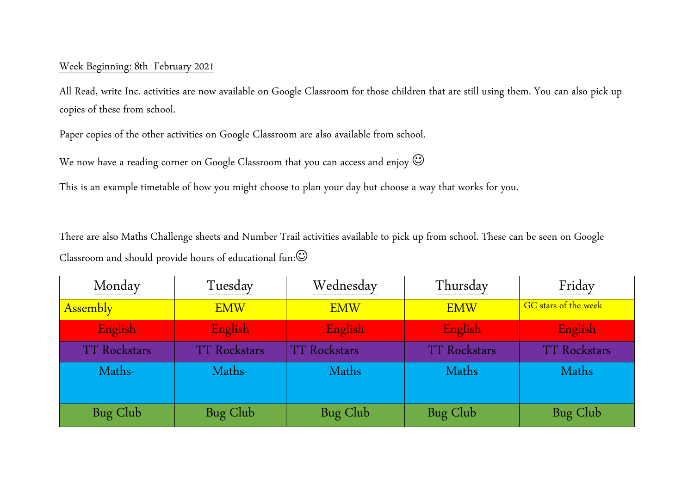## Week Beginning: 8th February 2021

All Read, write Inc. activities are now available on Google Classroom for those children that are still using them. You can also pick up copies of these from school.

Paper copies of the other activities on Google Classroom are also available from school.

We now have a reading corner on Google Classroom that you can access and enjoy  $\mathbb{G}$ 

This is an example timetable of how you might choose to plan your day but choose a way that works for you.

There are also Maths Challenge sheets and Number Trail activities available to pick up from school. These can be seen on Google Classroom and should provide hours of educational fun:

| Monday              | Tuesday             | Wednesday           | Thursday            | Friday               |
|---------------------|---------------------|---------------------|---------------------|----------------------|
| <b>Assembly</b>     | <b>EMW</b>          | <b>EMW</b>          | <b>EMW</b>          | GC stars of the week |
| English             | English             | English             | English             | English              |
| <b>TT Rockstars</b> | <b>TT Rockstars</b> | <b>TT Rockstars</b> | <b>TT Rockstars</b> | <b>TT Rockstars</b>  |
| Maths-              | Maths-              | Maths               | Maths               | Maths                |
| Bug Club            | Bug Club            | Bug Club            | Bug Club            | Bug Club             |